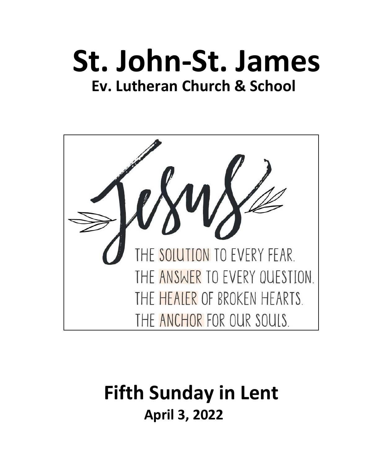# **St. John-St. James Ev. Lutheran Church & School**



# **Fifth Sunday in Lent April 3, 2022**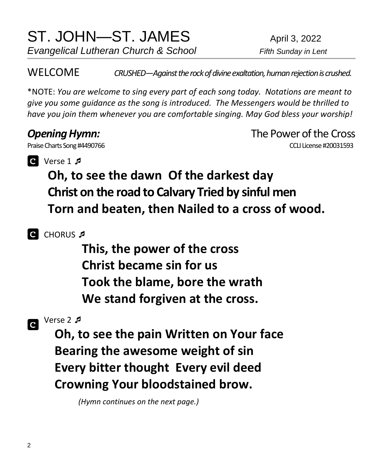## ST. JOHN—ST. JAMES April 3, 2022 *Evangelical Lutheran Church & School Fifth Sunday in Lent*

WELCOME *CRUSHED—Against the rock of divine exaltation, human rejectionis crushed.*

\*NOTE: *You are welcome to sing every part of each song today. Notations are meant to give you some guidance as the song is introduced. The Messengers would be thrilled to have you join them whenever you are comfortable singing. May God bless your worship!*

**Opening Hymn: Conservery Conservery Conservery The Power of the Cross** Praise Charts Song #4490766 CCLI License #20031593

**C** Verse 1 *P* 

**Oh, to see the dawn Of the darkest day Christ on the road to Calvary Tried by sinful men Torn and beaten, then Nailed to a cross of wood.**

**C** CHORUS *<b>* 

**This, the power of the cross Christ became sin for us Took the blame, bore the wrath We stand forgiven at the cross.** 

Verse 2 

**Oh, to see the pain Written on Your face Bearing the awesome weight of sin Every bitter thought Every evil deed Crowning Your bloodstained brow.**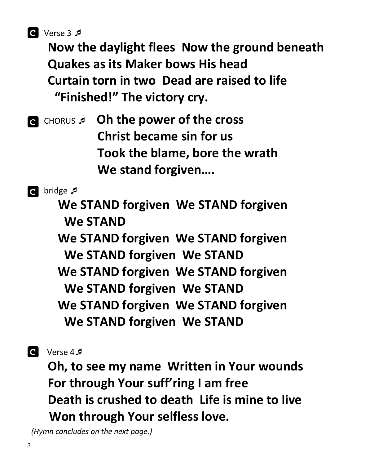*d* Verse 3 *p* 

**Now the daylight flees Now the ground beneath Quakes as its Maker bows His head Curtain torn in two Dead are raised to life "Finished!" The victory cry.**

 CHORUS  **Oh the power of the cross Christ became sin for us Took the blame, bore the wrath We stand forgiven….** 

bridge 

**We STAND forgiven We STAND forgiven We STAND We STAND forgiven We STAND forgiven We STAND forgiven We STAND We STAND forgiven We STAND forgiven We STAND forgiven We STAND We STAND forgiven We STAND forgiven We STAND forgiven We STAND** 

Verse 4

**Oh, to see my name Written in Your wounds For through Your suff'ring I am free Death is crushed to death Life is mine to live Won through Your selfless love.**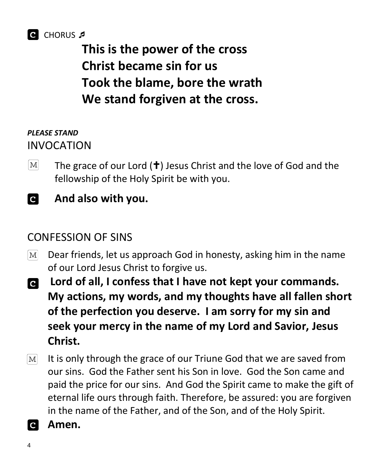

**This is the power of the cross Christ became sin for us Took the blame, bore the wrath We stand forgiven at the cross.** 

#### *PLEASE STAND* INVOCATION

- $|M|$ The grace of our Lord  $(\dagger)$  Jesus Christ and the love of God and the fellowship of the Holy Spirit be with you.
- $\overline{c}$ **And also with you.**

## CONFESSION OF SINS

- Dear friends, let us approach God in honesty, asking him in the name  $\lvert\mathrm{M}\rvert$ of our Lord Jesus Christ to forgive us.
- **Lord of all, I confess that I have not kept your commands. My actions, my words, and my thoughts have all fallen short of the perfection you deserve. I am sorry for my sin and seek your mercy in the name of my Lord and Savior, Jesus Christ.**
- It is only through the grace of our Triune God that we are saved from  $M<sub>l</sub>$ our sins. God the Father sent his Son in love. God the Son came and paid the price for our sins. And God the Spirit came to make the gift of eternal life ours through faith. Therefore, be assured: you are forgiven in the name of the Father, and of the Son, and of the Holy Spirit.
- **Amen.**  $\mathbf{C}$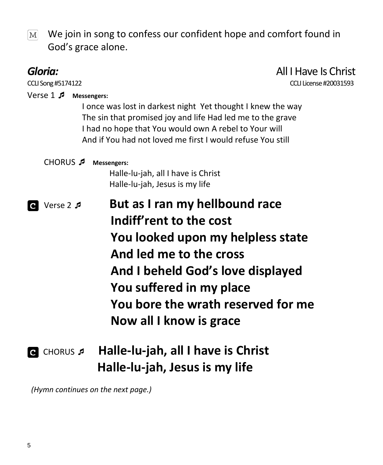We join in song to confess our confident hope and comfort found in  $M<sub>l</sub>$ God's grace alone.

*Gloria:* All I Have Is Christ CCLI Song #5174122 CCLI License #20031593

Verse 1  $\sqrt{ }$  Messengers:

I once was lost in darkest night Yet thought I knew the way The sin that promised joy and life Had led me to the grave I had no hope that You would own A rebel to Your will And if You had not loved me first I would refuse You still

#### CHORUS  **Messengers:**

Halle-lu-jah, all I have is Christ Halle-lu-jah, Jesus is my life

- Verse <sup>2</sup>  **But as I ran my hellbound race Indiff'rent to the cost You looked upon my helpless state And led me to the cross And I beheld God's love displayed You suffered in my place You bore the wrath reserved for me Now all I know is grace**
- CHORUS  **Halle-lu-jah, all I have is Christ Halle-lu-jah, Jesus is my life**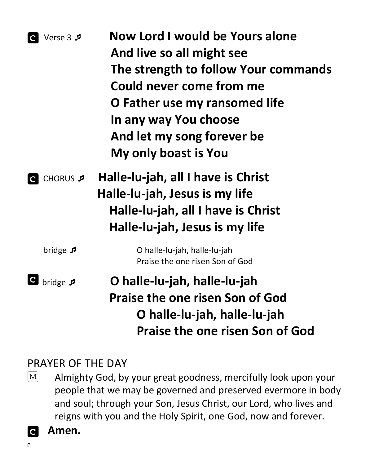| Verse 3 $\sqrt{2}$                          | Now Lord I would be Yours alone<br>And live so all might see<br>The strength to follow Your commands<br>Could never come from me<br>O Father use my ransomed life<br>In any way You choose<br>And let my song forever be<br>My only boast is You |
|---------------------------------------------|--------------------------------------------------------------------------------------------------------------------------------------------------------------------------------------------------------------------------------------------------|
| <b>C</b> CHORUS <b>P</b>                    | Halle-lu-jah, all I have is Christ<br>Halle-lu-jah, Jesus is my life<br>Halle-lu-jah, all I have is Christ<br>Halle-lu-jah, Jesus is my life                                                                                                     |
| bridge $\sqrt{2}$                           | O halle-lu-jah, halle-lu-jah<br>Praise the one risen Son of God                                                                                                                                                                                  |
| $\blacksquare$ bridge $\blacktriangleright$ | O halle-lu-jah, halle-lu-jah<br><b>Praise the one risen Son of God</b><br>O halle-lu-jah, halle-lu-jah<br><b>Praise the one risen Son of God</b>                                                                                                 |

#### PRAYER OF THE DAY

 $\boxed{\text{M}}$ Almighty God, by your great goodness, mercifully look upon your people that we may be governed and preserved evermore in body and soul; through your Son, Jesus Christ, our Lord, who lives and reigns with you and the Holy Spirit, one God, now and forever.



#### **Amen.**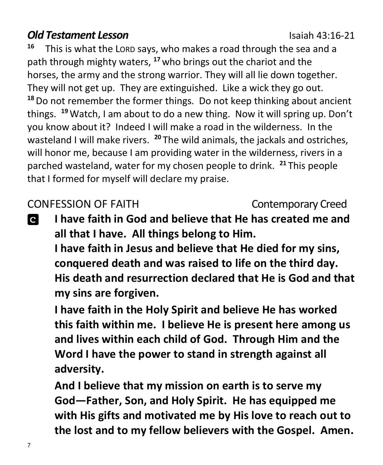### *Old Testament Lesson* Isaiah 43:16-21

**16** This is what the LORD says, who makes a road through the sea and a path through mighty waters, **<sup>17</sup>** who brings out the chariot and the horses, the army and the strong warrior. They will all lie down together. They will not get up. They are extinguished. Like a wick they go out. **<sup>18</sup>**Do not remember the former things. Do not keep thinking about ancient things. **<sup>19</sup>**Watch, I am about to do a new thing. Now it will spring up. Don't you know about it? Indeed I will make a road in the wilderness. In the wasteland I will make rivers. **<sup>20</sup>** The wild animals, the jackals and ostriches, will honor me, because I am providing water in the wilderness, rivers in a parched wasteland, water for my chosen people to drink. **<sup>21</sup>** This people that I formed for myself will declare my praise.

### CONFESSION OF FAITH CONFESSION CONTENTS

**I have faith in God and believe that He has created me and C all that I have. All things belong to Him.**

**I have faith in Jesus and believe that He died for my sins, conquered death and was raised to life on the third day. His death and resurrection declared that He is God and that my sins are forgiven.**

**I have faith in the Holy Spirit and believe He has worked this faith within me. I believe He is present here among us and lives within each child of God. Through Him and the Word I have the power to stand in strength against all adversity.**

**And I believe that my mission on earth is to serve my God—Father, Son, and Holy Spirit. He has equipped me with His gifts and motivated me by His love to reach out to the lost and to my fellow believers with the Gospel. Amen.**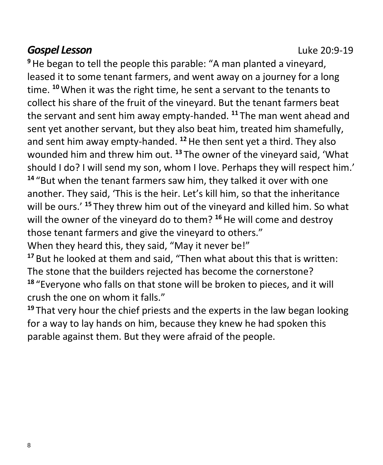### *Gospel Lesson* Luke 20:9-19

**<sup>9</sup>**He began to tell the people this parable: "A man planted a vineyard, leased it to some tenant farmers, and went away on a journey for a long time. **<sup>10</sup>**When it was the right time, he sent a servant to the tenants to collect his share of the fruit of the vineyard. But the tenant farmers beat the servant and sent him away empty-handed. **<sup>11</sup>** The man went ahead and sent yet another servant, but they also beat him, treated him shamefully, and sent him away empty-handed. **<sup>12</sup>**He then sent yet a third. They also wounded him and threw him out. **<sup>13</sup>** The owner of the vineyard said, 'What should I do? I will send my son, whom I love. Perhaps they will respect him.' **<sup>14</sup>** "But when the tenant farmers saw him, they talked it over with one another. They said, 'This is the heir. Let's kill him, so that the inheritance will be ours.' **<sup>15</sup>** They threw him out of the vineyard and killed him. So what will the owner of the vineyard do to them? <sup>16</sup> He will come and destroy those tenant farmers and give the vineyard to others."

When they heard this, they said, "May it never be!"

**<sup>17</sup>** But he looked at them and said, "Then what about this that is written: The stone that the builders rejected has become the cornerstone? **<sup>18</sup>** "Everyone who falls on that stone will be broken to pieces, and it will crush the one on whom it falls."

**<sup>19</sup>** That very hour the chief priests and the experts in the law began looking for a way to lay hands on him, because they knew he had spoken this parable against them. But they were afraid of the people.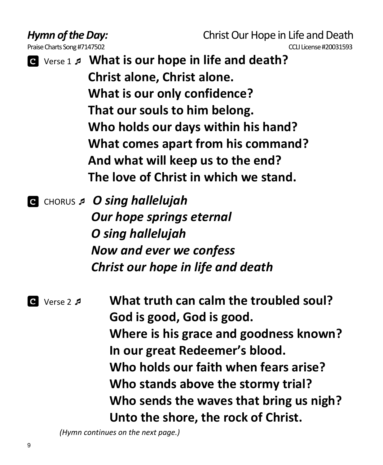**Hymn of the Day:** Christ Our Hope in Life and Death Praise Charts Song #7147502 CCLI License #20031593

 Verse 1  **What is our hope in life and death? Christ alone, Christ alone. What is our only confidence? That our souls to him belong. Who holds our days within his hand? What comes apart from his command? And what will keep us to the end? The love of Christ in which we stand.**

 CHORUS *O sing hallelujah Our hope springs eternal O sing hallelujah Now and ever we confess Christ our hope in life and death* 

 Verse 2  **What truth can calm the troubled soul? God is good, God is good. Where is his grace and goodness known? In our great Redeemer's blood. Who holds our faith when fears arise? Who stands above the stormy trial? Who sends the waves that bring us nigh? Unto the shore, the rock of Christ.**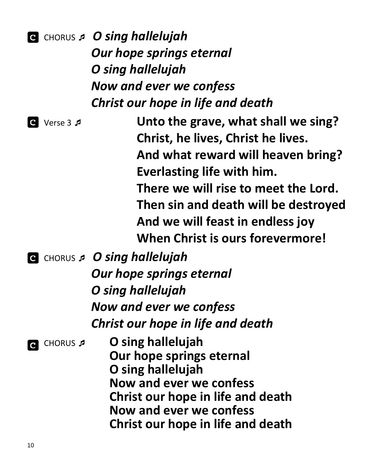CHORUS *O sing hallelujah Our hope springs eternal O sing hallelujah Now and ever we confess Christ our hope in life and death*  Verse 3  **Unto the grave, what shall we sing? Christ, he lives, Christ he lives. And what reward will heaven bring? Everlasting life with him. There we will rise to meet the Lord. Then sin and death will be destroyed And we will feast in endless joy When Christ is ours forevermore!** CHORUS *O sing hallelujah Our hope springs eternal O sing hallelujah Now and ever we confess Christ our hope in life and death*  **a** CHORUS *p* **O sing hallelujah Our hope springs eternal O sing hallelujah Now and ever we confess Christ our hope in life and death Now and ever we confess Christ our hope in life and death**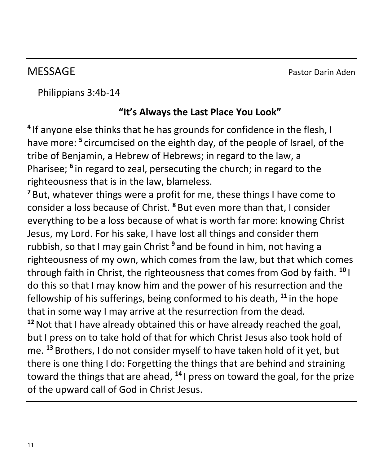MESSAGE Pastor Darin Aden

Philippians 3:4b-14

#### **"It's Always the Last Place You Look"**

**4** If anyone else thinks that he has grounds for confidence in the flesh, I have more: **<sup>5</sup>** circumcised on the eighth day, of the people of Israel, of the tribe of Benjamin, a Hebrew of Hebrews; in regard to the law, a Pharisee; <sup>6</sup> in regard to zeal, persecuting the church; in regard to the righteousness that is in the law, blameless.

**<sup>7</sup>** But, whatever things were a profit for me, these things I have come to consider a loss because of Christ. **<sup>8</sup>** But even more than that, I consider everything to be a loss because of what is worth far more: knowing Christ Jesus, my Lord. For his sake, I have lost all things and consider them rubbish, so that I may gain Christ **<sup>9</sup>** and be found in him, not having a righteousness of my own, which comes from the law, but that which comes through faith in Christ, the righteousness that comes from God by faith. **<sup>10</sup>** I do this so that I may know him and the power of his resurrection and the fellowship of his sufferings, being conformed to his death, **<sup>11</sup>** in the hope that in some way I may arrive at the resurrection from the dead. **<sup>12</sup>**Not that I have already obtained this or have already reached the goal, but I press on to take hold of that for which Christ Jesus also took hold of me. **<sup>13</sup>** Brothers, I do not consider myself to have taken hold of it yet, but there is one thing I do: Forgetting the things that are behind and straining toward the things that are ahead, **<sup>14</sup>** I press on toward the goal, for the prize of the upward call of God in Christ Jesus.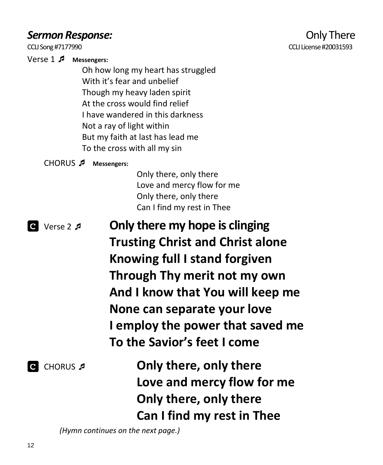#### **Sermon Response: Constanting Sermon Response: Only There**

Verse 1  **Messengers:** 

Oh how long my heart has struggled With it's fear and unbelief Though my heavy laden spirit At the cross would find relief I have wandered in this darkness Not a ray of light within But my faith at last has lead me To the cross with all my sin

#### CHORUS  **Messengers:**

Only there, only there Love and mercy flow for me Only there, only there Can I find my rest in Thee

 Verse 2  **Only there my hope is clinging Trusting Christ and Christ alone Knowing full I stand forgiven Through Thy merit not my own And I know that You will keep me None can separate your love I employ the power that saved me To the Savior's feet I come**

*C* CHORUS *P* **CHORUS** *P* **CHORUS** *P* **CHORUS CHORUS CHORUS CHORUS CHORUS CHORUS Love and mercy flow for me Only there, only there Can I find my rest in Thee**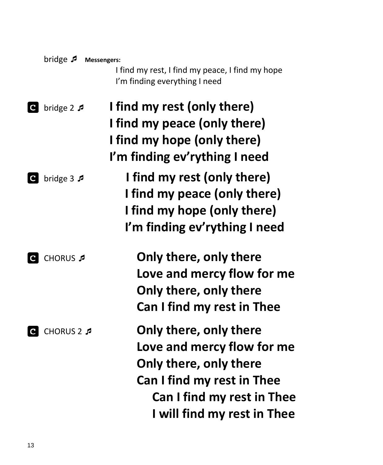| bridge $\sqrt{2}$     | <b>Messengers:</b>                              |
|-----------------------|-------------------------------------------------|
|                       | I find my rest, I find my peace, I find my hope |
|                       | I'm finding everything I need                   |
| G bridge 2 $\sqrt{ }$ | I find my rest (only there)                     |
|                       | I find my peace (only there)                    |
|                       | I find my hope (only there)                     |
|                       | I'm finding ev'rything I need                   |
| C bridge $3J$         | I find my rest (only there)                     |
|                       | I find my peace (only there)                    |
|                       | I find my hope (only there)                     |
|                       | I'm finding ev'rything I need                   |
|                       |                                                 |
| CHORUS <sub>5</sub>   | Only there, only there                          |
|                       | Love and mercy flow for me                      |
|                       | Only there, only there                          |
|                       | Can I find my rest in Thee                      |
|                       |                                                 |
| <b>C</b> CHORUS 2 P   | Only there, only there                          |
|                       | Love and mercy flow for me                      |
|                       | Only there, only there                          |
|                       | Can I find my rest in Thee                      |
|                       | Can I find my rest in Thee                      |
|                       | I will find my rest in Thee                     |
|                       |                                                 |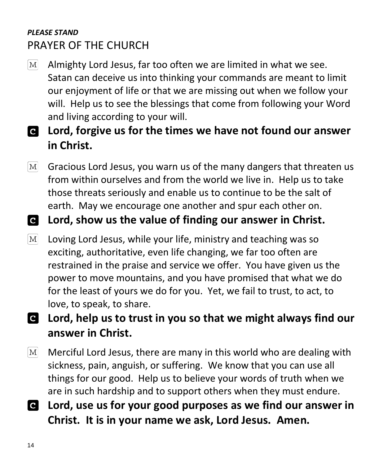#### *PLEASE STAND* PRAYER OF THE CHURCH

- $\lceil \text{M} \rceil$ Almighty Lord Jesus, far too often we are limited in what we see. Satan can deceive us into thinking your commands are meant to limit our enjoyment of life or that we are missing out when we follow your will. Help us to see the blessings that come from following your Word and living according to your will.
- **Lord, forgive us for the times we have not found our answer in Christ.**
- Gracious Lord Jesus, you warn us of the many dangers that threaten us  $|M|$ from within ourselves and from the world we live in. Help us to take those threats seriously and enable us to continue to be the salt of earth. May we encourage one another and spur each other on.
- **Lord, show us the value of finding our answer in Christ.**
- $\lceil \text{M} \rceil$ Loving Lord Jesus, while your life, ministry and teaching was so exciting, authoritative, even life changing, we far too often are restrained in the praise and service we offer. You have given us the power to move mountains, and you have promised that what we do for the least of yours we do for you. Yet, we fail to trust, to act, to love, to speak, to share.
- **Lord, help us to trust in you so that we might always find our answer in Christ.**
- Merciful Lord Jesus, there are many in this world who are dealing with  $|M|$ sickness, pain, anguish, or suffering. We know that you can use all things for our good. Help us to believe your words of truth when we are in such hardship and to support others when they must endure.
- **Lord, use us for your good purposes as we find our answer in Christ. It is in your name we ask, Lord Jesus. Amen.**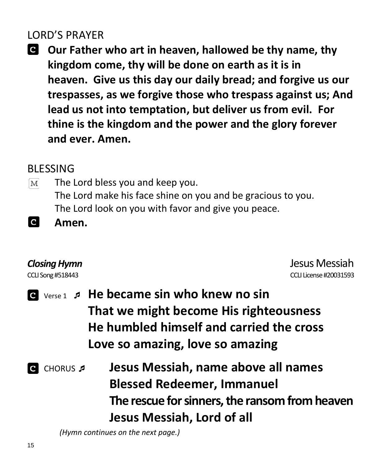## LORD'S PRAYER

**Our Father who art in heaven, hallowed be thy name, thy kingdom come, thy will be done on earth as it is in heaven. Give us this day our daily bread; and forgive us our trespasses, as we forgive those who trespass against us; And lead us not into temptation, but deliver us from evil. For thine is the kingdom and the power and the glory forever and ever. Amen.**

### BLESSING

The Lord bless you and keep you.  $\lceil \mathbf{M} \rceil$ The Lord make his face shine on you and be gracious to you. The Lord look on you with favor and give you peace.

 $\overline{c}$ **Amen.** 

*Closing Hymn* Jesus Messiah CCLI Song #518443 CCLI License #20031593

- Verse 1 **He became sin who knew no sin That we might become His righteousness He humbled himself and carried the cross Love so amazing, love so amazing**
- CHORUS  **Jesus Messiah, name above all names Blessed Redeemer, Immanuel The rescue for sinners, the ransom from heaven Jesus Messiah, Lord of all**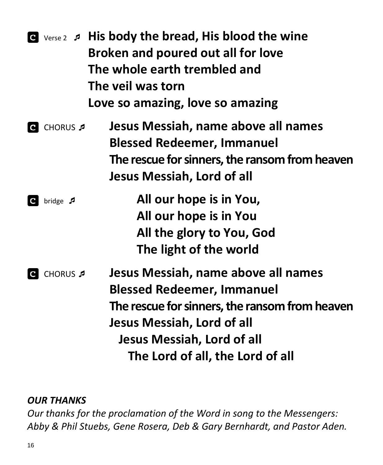|                          | <b>E</b> $\vee$ verse 2 <b>F</b> His body the bread, His blood the wine<br><b>Broken and poured out all for love</b><br>The whole earth trembled and<br>The yeil was torn<br>Love so amazing, love so amazing              |
|--------------------------|----------------------------------------------------------------------------------------------------------------------------------------------------------------------------------------------------------------------------|
| <b>C</b> CHORUS <b>P</b> | Jesus Messiah, name above all names<br><b>Blessed Redeemer, Immanuel</b><br>The rescue for sinners, the ransom from heaven<br>Jesus Messiah, Lord of all                                                                   |
| C bridge $\sqrt{2}$      | All our hope is in You,<br>All our hope is in You<br>All the glory to You, God<br>The light of the world                                                                                                                   |
| <b>C</b> CHORUS $\beta$  | Jesus Messiah, name above all names<br><b>Blessed Redeemer, Immanuel</b><br>The rescue for sinners, the ransom from heaven<br>Jesus Messiah, Lord of all<br>Jesus Messiah, Lord of all<br>The Lord of all, the Lord of all |

#### *OUR THANKS*

*Our thanks for the proclamation of the Word in song to the Messengers: Abby & Phil Stuebs, Gene Rosera, Deb & Gary Bernhardt, and Pastor Aden.*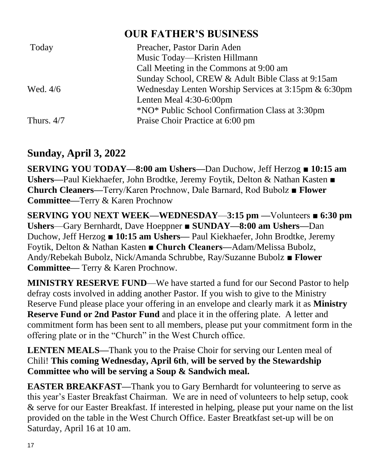#### **OUR FATHER'S BUSINESS**

| Today        | Preacher, Pastor Darin Aden                          |
|--------------|------------------------------------------------------|
|              | Music Today—Kristen Hillmann                         |
|              | Call Meeting in the Commons at 9:00 am               |
|              | Sunday School, CREW & Adult Bible Class at 9:15am    |
| Wed. 4/6     | Wednesday Lenten Worship Services at 3:15pm & 6:30pm |
|              | Lenten Meal 4:30-6:00pm                              |
|              | *NO* Public School Confirmation Class at 3:30pm      |
| Thurs. $4/7$ | Praise Choir Practice at 6:00 pm                     |
|              |                                                      |

#### **Sunday, April 3, 2022**

**SERVING YOU TODAY—8:00 am Ushers—**Dan Duchow, Jeff Herzog ■ **10:15 am Ushers—**Paul Kiekhaefer, John Brodtke, Jeremy Foytik, Delton & Nathan Kasten **■ Church Cleaners—**Terry/Karen Prochnow, Dale Barnard, Rod Bubolz ■ **Flower Committee—**Terry & Karen Prochnow

**SERVING YOU NEXT WEEK—WEDNESDAY**—**3:15 pm —**Volunteers ■ **6:30 pm Ushers**—Gary Bernhardt, Dave Hoeppner ■ **SUNDAY—8:00 am Ushers—**Dan Duchow, Jeff Herzog ■ **10:15 am Ushers—** Paul Kiekhaefer, John Brodtke, Jeremy Foytik, Delton & Nathan Kasten **■ Church Cleaners—**Adam/Melissa Bubolz, Andy/Rebekah Bubolz, Nick/Amanda Schrubbe, Ray/Suzanne Bubolz ■ **Flower Committee—** Terry & Karen Prochnow.

**MINISTRY RESERVE FUND**—We have started a fund for our Second Pastor to help defray costs involved in adding another Pastor. If you wish to give to the Ministry Reserve Fund please place your offering in an envelope and clearly mark it as **Ministry Reserve Fund or 2nd Pastor Fund** and place it in the offering plate. A letter and commitment form has been sent to all members, please put your commitment form in the offering plate or in the "Church" in the West Church office.

**LENTEN MEALS—**Thank you to the Praise Choir for serving our Lenten meal of Chili! **This coming Wednesday, April 6th**, **will be served by the Stewardship Committee who will be serving a Soup & Sandwich meal.** 

**EASTER BREAKFAST—**Thank you to Gary Bernhardt for volunteering to serve as this year's Easter Breakfast Chairman. We are in need of volunteers to help setup, cook & serve for our Easter Breakfast. If interested in helping, please put your name on the list provided on the table in the West Church Office. Easter Breatkfast set-up will be on Saturday, April 16 at 10 am.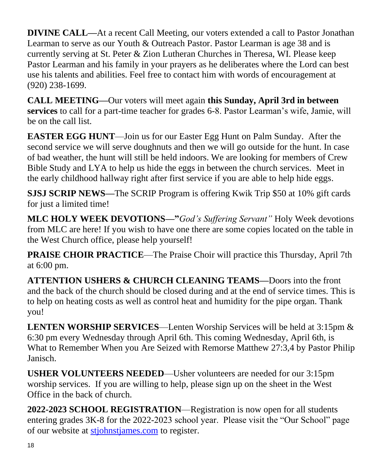**DIVINE CALL—**At a recent Call Meeting, our voters extended a call to Pastor Jonathan Learman to serve as our Youth & Outreach Pastor. Pastor Learman is age 38 and is currently serving at St. Peter & Zion Lutheran Churches in Theresa, WI. Please keep Pastor Learman and his family in your prayers as he deliberates where the Lord can best use his talents and abilities. Feel free to contact him with words of encouragement at (920) 238-1699.

**CALL MEETING—**Our voters will meet again **this Sunday, April 3rd in between services** to call for a part-time teacher for grades 6-8. Pastor Learman's wife, Jamie, will be on the call list.

**EASTER EGG HUNT**—Join us for our Easter Egg Hunt on Palm Sunday. After the second service we will serve doughnuts and then we will go outside for the hunt. In case of bad weather, the hunt will still be held indoors. We are looking for members of Crew Bible Study and LYA to help us hide the eggs in between the church services. Meet in the early childhood hallway right after first service if you are able to help hide eggs.

**SJSJ SCRIP NEWS—**The SCRIP Program is offering Kwik Trip \$50 at 10% gift cards for just a limited time!

**MLC HOLY WEEK DEVOTIONS—"***God's Suffering Servant"* Holy Week devotions from MLC are here! If you wish to have one there are some copies located on the table in the West Church office, please help yourself!

**PRAISE CHOIR PRACTICE**—The Praise Choir will practice this Thursday, April 7th at 6:00 pm.

**ATTENTION USHERS & CHURCH CLEANING TEAMS—**Doors into the front and the back of the church should be closed during and at the end of service times. This is to help on heating costs as well as control heat and humidity for the pipe organ. Thank you!

**LENTEN WORSHIP SERVICES**—Lenten Worship Services will be held at 3:15pm & 6:30 pm every Wednesday through April 6th. This coming Wednesday, April 6th, is What to Remember When you Are Seized with Remorse Matthew 27:3,4 by Pastor Philip Janisch.

**USHER VOLUNTEERS NEEDED**—Usher volunteers are needed for our 3:15pm worship services. If you are willing to help, please sign up on the sheet in the West Office in the back of church.

**2022-2023 SCHOOL REGISTRATION**—Registration is now open for all students entering grades 3K-8 for the 2022-2023 school year. Please visit the "Our School" page of our website at [stjohnstjames.com](http://www.stjohnstjames.com/) to register.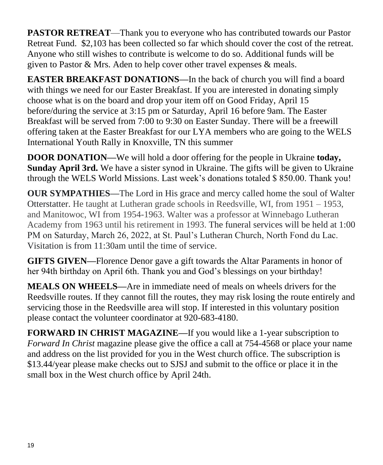**PASTOR RETREAT—Thank you to everyone who has contributed towards our Pastor** Retreat Fund. \$2,103 has been collected so far which should cover the cost of the retreat. Anyone who still wishes to contribute is welcome to do so. Additional funds will be given to Pastor & Mrs. Aden to help cover other travel expenses & meals.

**EASTER BREAKFAST DONATIONS—**In the back of church you will find a board with things we need for our Easter Breakfast. If you are interested in donating simply choose what is on the board and drop your item off on Good Friday, April 15 before/during the service at 3:15 pm or Saturday, April 16 before 9am. The Easter Breakfast will be served from 7:00 to 9:30 on Easter Sunday. There will be a freewill offering taken at the Easter Breakfast for our LYA members who are going to the WELS International Youth Rally in Knoxville, TN this summer

**DOOR DONATION—**We will hold a door offering for the people in Ukraine **today, Sunday April 3rd.** We have a sister synod in Ukraine. The gifts will be given to Ukraine through the WELS World Missions. Last week's donations totaled \$ 850.00. Thank you!

**OUR SYMPATHIES—**The Lord in His grace and mercy called home the soul of Walter Otterstatter. He taught at Lutheran grade schools in Reedsville, WI, from 1951 – 1953, and Manitowoc, WI from 1954-1963. Walter was a professor at Winnebago Lutheran Academy from 1963 until his retirement in 1993. The funeral services will be held at 1:00 PM on Saturday, March 26, 2022, at St. Paul's Lutheran Church, North Fond du Lac. Visitation is from 11:30am until the time of service.

**GIFTS GIVEN—**Florence Denor gave a gift towards the Altar Paraments in honor of her 94th birthday on April 6th. Thank you and God's blessings on your birthday!

**MEALS ON WHEELS—**Are in immediate need of meals on wheels drivers for the Reedsville routes. If they cannot fill the routes, they may risk losing the route entirely and servicing those in the Reedsville area will stop. If interested in this voluntary position please contact the volunteer coordinator at 920-683-4180.

**FORWARD IN CHRIST MAGAZINE—**If you would like a 1-year subscription to *Forward In Christ* magazine please give the office a call at 754-4568 or place your name and address on the list provided for you in the West church office. The subscription is \$13.44/year please make checks out to SJSJ and submit to the office or place it in the small box in the West church office by April 24th.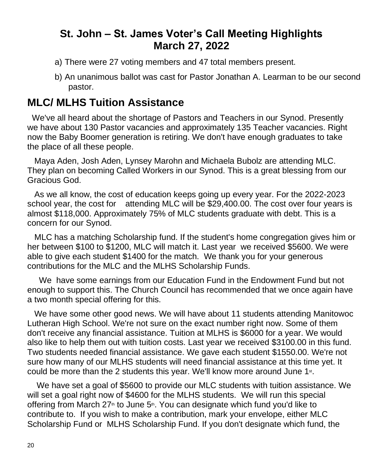### **St. John – St. James Voter's Call Meeting Highlights March 27, 2022**

- a) There were 27 voting members and 47 total members present.
- b) An unanimous ballot was cast for Pastor Jonathan A. Learman to be our second pastor.

### **MLC/ MLHS Tuition Assistance**

 We've all heard about the shortage of Pastors and Teachers in our Synod. Presently we have about 130 Pastor vacancies and approximately 135 Teacher vacancies. Right now the Baby Boomer generation is retiring. We don't have enough graduates to take the place of all these people.

 Maya Aden, Josh Aden, Lynsey Marohn and Michaela Bubolz are attending MLC. They plan on becoming Called Workers in our Synod. This is a great blessing from our Gracious God.

 As we all know, the cost of education keeps going up every year. For the 2022-2023 school year, the cost for attending MLC will be \$29,400.00. The cost over four years is almost \$118,000. Approximately 75% of MLC students graduate with debt. This is a concern for our Synod.

 MLC has a matching Scholarship fund. If the student's home congregation gives him or her between \$100 to \$1200, MLC will match it. Last year we received \$5600. We were able to give each student \$1400 for the match. We thank you for your generous contributions for the MLC and the MLHS Scholarship Funds.

 We have some earnings from our Education Fund in the Endowment Fund but not enough to support this. The Church Council has recommended that we once again have a two month special offering for this.

 We have some other good news. We will have about 11 students attending Manitowoc Lutheran High School. We're not sure on the exact number right now. Some of them don't receive any financial assistance. Tuition at MLHS is \$6000 for a year. We would also like to help them out with tuition costs. Last year we received \$3100.00 in this fund. Two students needed financial assistance. We gave each student \$1550.00. We're not sure how many of our MLHS students will need financial assistance at this time yet. It could be more than the 2 students this year. We'll know more around June 1<sup>st</sup>.

 We have set a goal of \$5600 to provide our MLC students with tuition assistance. We will set a goal right now of \$4600 for the MLHS students. We will run this special offering from March 27<sup>th</sup> to June 5<sup>th</sup>. You can designate which fund you'd like to contribute to. If you wish to make a contribution, mark your envelope, either MLC Scholarship Fund or MLHS Scholarship Fund. If you don't designate which fund, the